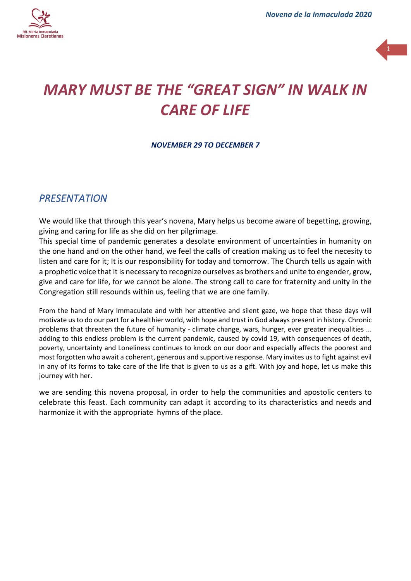



# *MARY MUST BE THE "GREAT SIGN" IN WALK IN CARE OF LIFE*

*NOVEMBER 29 TO DECEMBER 7*

### *PRESENTATION*

We would like that through this year's novena, Mary helps us become aware of begetting, growing, giving and caring for life as she did on her pilgrimage.

This special time of pandemic generates a desolate environment of uncertainties in humanity on the one hand and on the other hand, we feel the calls of creation making us to feel the necesity to listen and care for it; It is our responsibility for today and tomorrow. The Church tells us again with a prophetic voice that it is necessary to recognize ourselves as brothers and unite to engender, grow, give and care for life, for we cannot be alone. The strong call to care for fraternity and unity in the Congregation still resounds within us, feeling that we are one family.

From the hand of Mary Immaculate and with her attentive and silent gaze, we hope that these days will motivate us to do our part for a healthier world, with hope and trust in God always present in history. Chronic problems that threaten the future of humanity - climate change, wars, hunger, ever greater inequalities ... adding to this endless problem is the current pandemic, caused by covid 19, with consequences of death, poverty, uncertainty and Loneliness continues to knock on our door and especially affects the poorest and most forgotten who await a coherent, generous and supportive response. Mary invites us to fight against evil in any of its forms to take care of the life that is given to us as a gift. With joy and hope, let us make this journey with her.

we are sending this novena proposal, in order to help the communities and apostolic centers to celebrate this feast. Each community can adapt it according to its characteristics and needs and harmonize it with the appropriate hymns of the place.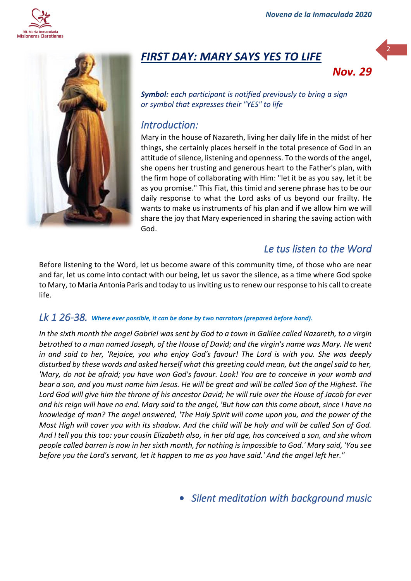



## *FIRST DAY: MARY SAYS YES TO LIFE*



2

*Symbol: each participant is notified previously to bring a sign or symbol that expresses their "YES" to life*

#### *Introduction:*

Mary in the house of Nazareth, living her daily life in the midst of her things, she certainly places herself in the total presence of God in an attitude of silence, listening and openness. To the words of the angel, she opens her trusting and generous heart to the Father's plan, with the firm hope of collaborating with Him: "let it be as you say, let it be as you promise." This Fiat, this timid and serene phrase has to be our daily response to what the Lord asks of us beyond our frailty. He wants to make us instruments of his plan and if we allow him we will share the joy that Mary experienced in sharing the saving action with God.

## *Le tus listen to the Word*

Before listening to the Word, let us become aware of this community time, of those who are near and far, let us come into contact with our being, let us savor the silence, as a time where God spoke to Mary, to Maria Antonia Paris and today to us inviting us to renew our response to his call to create life.

#### *Lk 1 26-38. Where ever possible, it can be done by two narrators (prepared before hand).*

*In the sixth month the angel Gabriel was sent by God to a town in Galilee called Nazareth, to a virgin betrothed to a man named Joseph, of the House of David; and the virgin's name was Mary. He went in and said to her, 'Rejoice, you who enjoy God's favour! The Lord is with you. She was deeply disturbed by these words and asked herself what this greeting could mean, but the angel said to her, 'Mary, do not be afraid; you have won God's favour. Look! You are to conceive in your womb and bear a son, and you must name him Jesus. He will be great and will be called Son of the Highest. The Lord God will give him the throne of his ancestor David; he will rule over the House of Jacob for ever and his reign will have no end. Mary said to the angel, 'But how can this come about, since I have no knowledge of man? The angel answered, 'The Holy Spirit will come upon you, and the power of the Most High will cover you with its shadow. And the child will be holy and will be called Son of God. And I tell you this too: your cousin Elizabeth also, in her old age, has conceived a son, and she whom people called barren is now in her sixth month, for nothing is impossible to God.' Mary said, 'You see before you the Lord's servant, let it happen to me as you have said.' And the angel left her."*

• *Silent meditation with background music*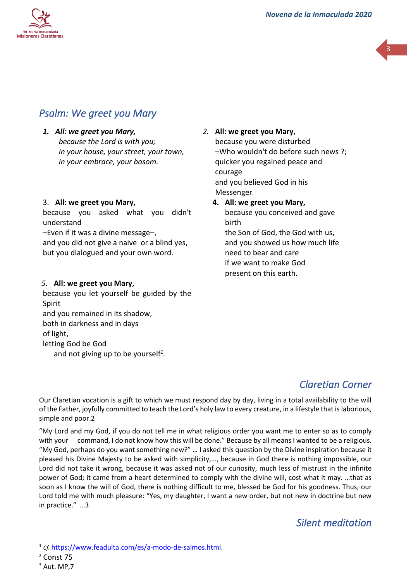



## *Psalm: We greet you Mary*

*1. All: we greet you Mary, because the Lord is with you; in your house, your street, your town, in your embrace, your bosom.*

#### 3. **All: we greet you Mary,**

because you asked what you didn't understand

–Even if it was a divine message–,

and you did not give a naive or a blind yes, but you dialogued and your own word.

#### *5.* **All: we greet you Mary,**

because you let yourself be guided by the Spirit and you remained in its shadow, both in darkness and in days of light, letting God be God and not giving up to be yourself*<sup>1</sup> .*

*2.* **All: we greet you Mary,**  because you were disturbed –Who wouldn't do before such news ?; quicker you regained peace and courage and you believed God in his Messenger. **4. All: we greet you Mary,**

because you conceived and gave birth the Son of God, the God with us, and you showed us how much life need to bear and care if we want to make God present on this earth.

## *Claretian Corner*

Our Claretian vocation is a gift to which we must respond day by day, living in a total availability to the will of the Father, joyfully committed to teach the Lord's holy law to every creature, in a lifestyle that is laborious, simple and poor.2

"My Lord and my God, if you do not tell me in what religious order you want me to enter so as to comply with your command, I do not know how this will be done." Because by all means I wanted to be a religious. "My God, perhaps do you want something new?" … I asked this question by the Divine inspiration because it pleased his Divine Majesty to be asked with simplicity,…, because in God there is nothing impossible, our Lord did not take it wrong, because it was asked not of our curiosity, much less of mistrust in the infinite power of God; it came from a heart determined to comply with the divine will, cost what it may. …that as soon as I know the will of God, there is nothing difficult to me, blessed be God for his goodness. Thus, our Lord told me with much pleasure: "Yes, my daughter, I want a new order, but not new in doctrine but new in practice." …3

### *Silent meditation*

<sup>&</sup>lt;sup>1</sup> cf. [https://www.feadulta.com/es/a-modo-de-salmos.html.](https://www.feadulta.com/es/a-modo-de-salmos.html)

<sup>2</sup> Const 75

 $3$  Aut. MP, 7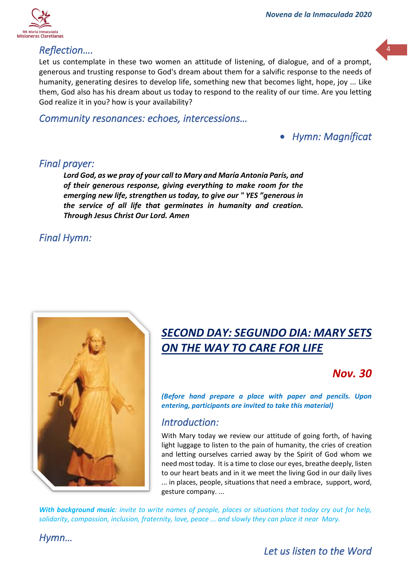

#### *Reflection….*

Let us contemplate in these two women an attitude of listening, of dialogue, and of a prompt, generous and trusting response to God's dream about them for a salvific response to the needs of humanity, generating desires to develop life, something new that becomes light, hope, joy ... Like them, God also has his dream about us today to respond to the reality of our time. Are you letting God realize it in you? how is your availability?

<sup>4</sup>

#### *Community resonances: echoes, intercessions…*

• *Hymn: Magníficat* 

#### *Final prayer:*

*Lord God, as we pray of your call to Mary and María Antonia París, and of their generous response, giving everything to make room for the emerging new life, strengthen us today, to give our " YES "generous in the service of all life that germinates in humanity and creation. Through Jesus Christ Our Lord. Amen*

### *Final Hymn:*



# *SECOND DAY: SEGUNDO DIA: MARY SETS ON THE WAY TO CARE FOR LIFE*

## *Nov. 30*

*(Before hand prepare a place with paper and pencils. Upon entering, participants are invited to take this material)*

### *Introduction:*

With Mary today we review our attitude of going forth, of having light luggage to listen to the pain of humanity, the cries of creation and letting ourselves carried away by the Spirit of God whom we need most today. It is a time to close our eyes, breathe deeply, listen to our heart beats and in it we meet the living God in our daily lives ... in places, people, situations that need a embrace, support, word, gesture company. ...

*With background music: invite to write names of people, places or situations that today cry out for help, solidarity, compassion, inclusion, fraternity, love, peace ... and slowly they can place it near Mary.* 

*Hymn…*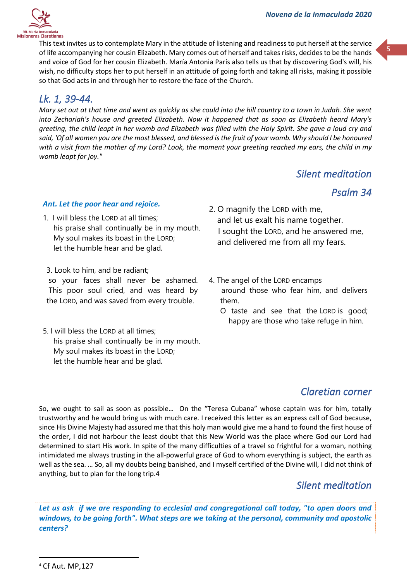

This text invites us to contemplate Mary in the attitude of listening and readiness to put herself at the service of life accompanying her cousin Elizabeth. Mary comes out of herself and takes risks, decides to be the hands and voice of God for her cousin Elizabeth. María Antonia París also tells us that by discovering God's will, his wish, no difficulty stops her to put herself in an attitude of going forth and taking all risks, making it possible so that God acts in and through her to restore the face of the Church.

## *Lk. 1, 39-44.*

*Mary set out at that time and went as quickly as she could into the hill country to a town in Judah. She went into Zechariah's house and greeted Elizabeth. Now it happened that as soon as Elizabeth heard Mary's greeting, the child leapt in her womb and Elizabeth was filled with the Holy Spirit. She gave a loud cry and said, 'Of all women you are the most blessed, and blessed is the fruit of your womb. Why should I be honoured with a visit from the mother of my Lord? Look, the moment your greeting reached my ears, the child in my womb leapt for joy."*

### *Silent meditation*

### *Psalm 34*

5

#### *Ant. Let the poor hear and rejoice.*

- 1. I will bless the LORD at all times; his praise shall continually be in my mouth. My soul makes its boast in the LORD; let the humble hear and be glad*.*
- 3. Look to him, and be radiant;

so your faces shall never be ashamed. This poor soul cried, and was heard by the LORD, and was saved from every trouble.

5. I will bless the LORD at all times; his praise shall continually be in my mouth. My soul makes its boast in the LORD; let the humble hear and be glad*.*

- 2. O magnify the LORD with me, and let us exalt his name together. I sought the LORD, and he answered me, and delivered me from all my fears.
- 4. The angel of the LORD encamps around those who fear him, and delivers them.
	- O taste and see that the LORD is good; happy are those who take refuge in him.

## *Claretian corner*

So, we ought to sail as soon as possible… On the "Teresa Cubana" whose captain was for him, totally trustworthy and he would bring us with much care. I received this letter as an express call of God because, since His Divine Majesty had assured me that this holy man would give me a hand to found the first house of the order, I did not harbour the least doubt that this New World was the place where God our Lord had determined to start His work. In spite of the many difficulties of a travel so frightful for a woman, nothing intimidated me always trusting in the all-powerful grace of God to whom everything is subject, the earth as well as the sea. … So, all my doubts being banished, and I myself certified of the Divine will, I did not think of anything, but to plan for the long trip.4

### *Silent meditation*

*Let us ask if we are responding to ecclesial and congregational call today, "to open doors and windows, to be going forth". What steps are we taking at the personal, community and apostolic centers?*

<sup>4</sup> Cf Aut. MP,127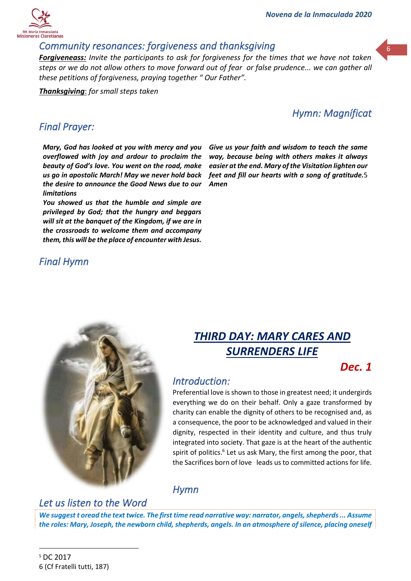#### *Community resonances: forgiveness and thanksgiving*

*Forgiveneass: Invite the participants to ask for forgiveness for the times that we have not taken steps or we do not allow others to move forward out of fear or false prudence... we can gather all these petitions of forgiveness, praying together " Our Father".* 

*Thanksgiving*: *for small steps taken*

### *Hymn: Magníficat*

#### *Final Prayer:*

*Mary, God has looked at you with mercy and you overflowed with joy and ardour to proclaim the beauty of God's love. You went on the road, make us go in apostolic March! May we never hold back the desire to announce the Good News due to our limitations*

*You showed us that the humble and simple are privileged by God; that the hungry and beggars will sit at the banquet of the Kingdom, if we are in the crossroads to welcome them and accompany them, this will be the place of encounter with Jesus.*

*Final Hymn* 



# *THIRD DAY: MARY CARES AND SURRENDERS LIFE*

## *Dec. 1*

### *Introduction:*

Preferential love is shown to those in greatest need; it undergirds everything we do on their behalf. Only a gaze transformed by charity can enable the dignity of others to be recognised and, as a consequence, the poor to be acknowledged and valued in their dignity, respected in their identity and culture, and thus truly integrated into society. That gaze is at the heart of the authentic spirit of politics.<sup>6</sup> Let us ask Mary, the first among the poor, that the Sacrifices born of love leads us to committed actions for life.

### *Hymn*

## *Let us listen to the Word*

*We suggest t oread the text twice. The first time read narrative way: narrator, angels, shepherds ... Assume the roles: Mary, Joseph, the newborn child, shepherds, angels. In an atmosphere of silence, placing oneself*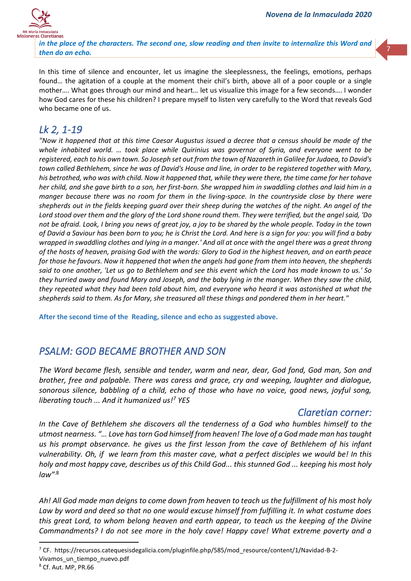7



*in the place of the characters. The second one, slow reading and then invite to internalize this Word and then do an echo.*

In this time of silence and encounter, let us imagine the sleeplessness, the feelings, emotions, perhaps found… the agitation of a couple at the moment their chil's birth, above all of a poor couple or a single mother…. What goes through our mind and heart… let us visualize this image for a few seconds…. I wonder how God cares for these his children? I prepare myself to listen very carefully to the Word that reveals God who became one of us.

## *Lk 2, 1-19*

*"Now it happened that at this time Caesar Augustus issued a decree that a census should be made of the whole inhabited world. ... took place while Quirinius was governor of Syria, and everyone went to be registered, each to his own town. So Joseph set out from the town of Nazareth in Galilee for Judaea, to David's town called Bethlehem, since he was of David's House and line, in order to be registered together with Mary, his betrothed, who was with child. Now it happened that, while they were there, the time came for her tohave her child, and she gave birth to a son, her first-born. She wrapped him in swaddling clothes and laid him in a manger because there was no room for them in the living-space. In the countryside close by there were shepherds out in the fields keeping guard over their sheep during the watches of the night. An angel of the Lord stood over them and the glory of the Lord shone round them. They were terrified, but the angel said, 'Do not be afraid. Look, I bring you news of great joy, a joy to be shared by the whole people. Today in the town of David a Saviour has been born to you; he is Christ the Lord. And here is a sign for you: you will find a baby wrapped in swaddling clothes and lying in a manger.' And all at once with the angel there was a great throng of the hosts of heaven, praising God with the words: Glory to God in the highest heaven, and on earth peace for those he favours. Now it happened that when the angels had gone from them into heaven, the shepherds said to one another, 'Let us go to Bethlehem and see this event which the Lord has made known to us.' So they hurried away and found Mary and Joseph, and the baby lying in the manger. When they saw the child, they repeated what they had been told about him, and everyone who heard it was astonished at what the shepherds said to them. As for Mary, she treasured all these things and pondered them in her heart."*

**After the second time of the Reading, silence and echo as suggested above.**

## *PSALM: GOD BECAME BROTHER AND SON*

*The Word became flesh, sensible and tender, warm and near, dear, God fond, God man, Son and brother, free and palpable. There was caress and grace, cry and weeping, laughter and dialogue, sonorous silence, babbling of a child, echo of those who have no voice, good news, joyful song, liberating touch ... And it humanized us! <sup>7</sup> YES*

#### *Claretian corner:*

*In the Cave of Bethlehem she discovers all the tenderness of a God who humbles himself to the utmost nearness. "… Love has torn God himself from heaven! The love of a God made man has taught us his prompt observance. he gives us the first lesson from the cave of Bethlehem of his infant vulnerability. Oh, if we learn from this master cave, what a perfect disciples we would be! In this holy and most happy cave, describes us of this Child God... this stunned God ... keeping his most holy law"* .8

*Ah! All God made man deigns to come down from heaven to teach us the fulfillment of his most holy Law by word and deed so that no one would excuse himself from fulfilling it. In what costume does this great Lord, to whom belong heaven and earth appear, to teach us the keeping of the Divine Commandments? I do not see more in the holy cave! Happy cave! What extreme poverty and a* 

<sup>7</sup> CF. https://recursos.catequesisdegalicia.com/pluginfile.php/585/mod\_resource/content/1/Navidad-B-2- Vivamos un tiempo nuevo.pdf

<sup>8</sup> Cf. Aut. MP, PR.66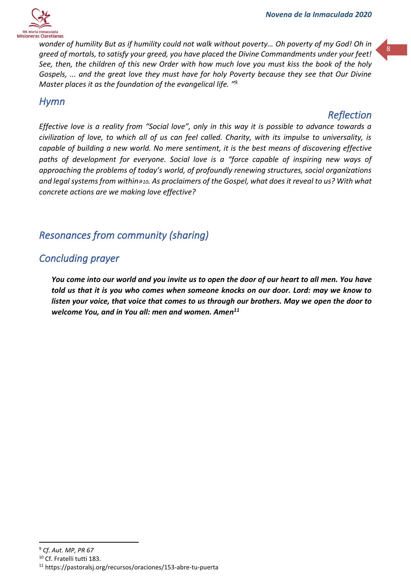



*wonder of humility But as if humility could not walk without poverty… Oh poverty of my God! Oh in greed of mortals, to satisfy your greed, you have placed the Divine Commandments under your feet! See, then, the children of this new Order with how much love you must kiss the book of the holy Gospels, ... and the great love they must have for holy Poverty because they see that Our Divine Master places it as the foundation of the evangelical life. " 9*.

#### *Hymn*

### *Reflection*

*Effective love is a reality from "Social love", only in this way it is possible to advance towards a civilization of love, to which all of us can feel called. Charity, with its impulse to universality, is capable of building a new world. No mere sentiment, it is the best means of discovering effective*  paths of development for everyone. Social love is a "force capable of inspiring new ways of *approaching the problems of today's world, of profoundly renewing structures, social organizations and legal systems from within»10. As proclaimers of the Gospel, what does it reveal to us? With what concrete actions are we making love effective?*

## *Resonances from community (sharing)*

## *Concluding prayer*

*You come into our world and you invite us to open the door of our heart to all men. You have told us that it is you who comes when someone knocks on our door. Lord: may we know to listen your voice, that voice that comes to us through our brothers. May we open the door to welcome You, and in You all: men and women. Amen 11*

<sup>9</sup> *Cf. Aut. MP, PR 67*

<sup>10</sup> Cf. Fratelli tutti 183.

<sup>11</sup> https://pastoralsj.org/recursos/oraciones/153-abre-tu-puerta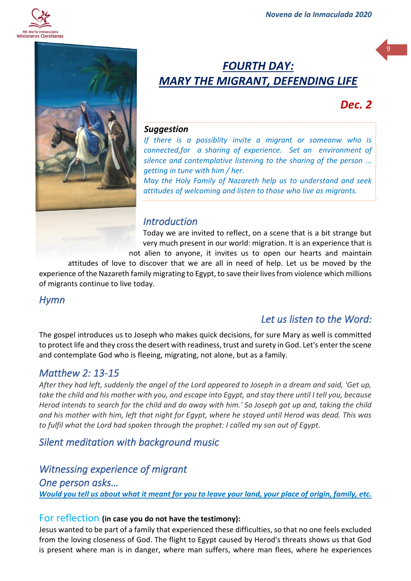



# *FOURTH DAY: MARY THE MIGRANT, DEFENDING LIFE*

## *Dec. 2*

9

#### *Suggestion*

*If there is a possiblity invite a migrant or someonw who is connected,for a sharing of experience. Set an environment of silence and contemplative listening to the sharing of the person ... getting in tune with him / her.*

*May the Holy Family of Nazareth help us to understand and seek attitudes of welcoming and listen to those who live as migrants.*

#### *Introduction*

Today we are invited to reflect, on a scene that is a bit strange but very much present in our world: migration. It is an experience that is

not alien to anyone, it invites us to open our hearts and maintain attitudes of love to discover that we are all in need of help. Let us be moved by the experience of the Nazareth family migrating to Egypt, to save their lives from violence which millions of migrants continue to live today.

#### *Hymn*

### *Let us listen to the Word:*

The gospel introduces us to Joseph who makes quick decisions, for sure Mary as well is committed to protect life and they cross the desert with readiness, trust and surety in God. Let's enter the scene and contemplate God who is fleeing, migrating, not alone, but as a family.

#### *Matthew 2: 13-15*

*After they had left, suddenly the angel of the Lord appeared to Joseph in a dream and said, 'Get up, take the child and his mother with you, and escape into Egypt, and stay there until I tell you, because Herod intends to search for the child and do away with him.' So Joseph got up and, taking the child and his mother with him, left that night for Egypt, where he stayed until Herod was dead. This was to fulfil what the Lord had spoken through the prophet: I called my son out of Egypt.*

*Silent meditation with background music* 

## *Witnessing experience of migrant*

*One person asks… Would you tell us about what it meant for you to leave your land, your place of origin, family, etc.* 

#### For reflection **(in case you do not have the testimony):**

Jesus wanted to be part of a family that experienced these difficulties, so that no one feels excluded from the loving closeness of God. The flight to Egypt caused by Herod's threats shows us that God is present where man is in danger, where man suffers, where man flees, where he experiences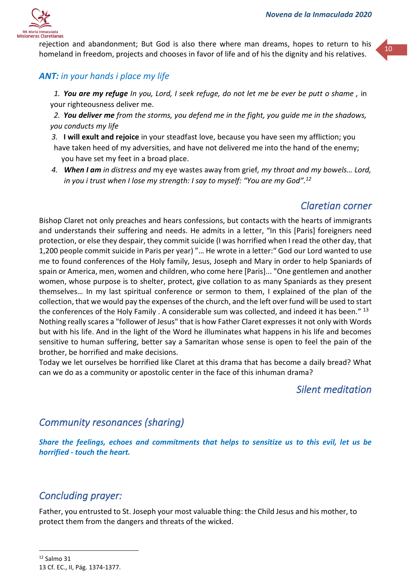

rejection and abandonment; But God is also there where man dreams, hopes to return to his homeland in freedom, projects and chooses in favor of life and of his the dignity and his relatives.

#### *ANT: in your hands i place my life*

*1. You are my refuge In you, Lord, I seek refuge, do not let me be ever be putt o shame ,* in your righteousness deliver me.

*2. You deliver me from the storms, you defend me in the fight, you guide me in the shadows, you conducts my life*

- *3.* **I will exult and rejoice** in your steadfast love, because you have seen my affliction; you have taken heed of my adversities, and have not delivered me into the hand of the enemy; you have set my feet in a broad place.
- *4. When I am in distress and* my eye wastes away from grief*, my throat and my bowels… Lord, in you i trust when I lose my strength: I say to myself: "You are my God".<sup>12</sup>*

#### *Claretian corner*

Bishop Claret not only preaches and hears confessions, but contacts with the hearts of immigrants and understands their suffering and needs. He admits in a letter, "In this [Paris] foreigners need protection, or else they despair, they commit suicide (I was horrified when I read the other day, that 1,200 people commit suicide in Paris per year) "… He wrote in a letter:" God our Lord wanted to use me to found conferences of the Holy family, Jesus, Joseph and Mary in order to help Spaniards of spain or America, men, women and children, who come here [Paris]... "One gentlemen and another women, whose purpose is to shelter, protect, give collation to as many Spaniards as they present themselves… In my last spiritual conference or sermon to them, I explained of the plan of the collection, that we would pay the expenses of the church, and the left over fund will be used to start the conferences of the Holy Family . A considerable sum was collected, and indeed it has been." 13 Nothing really scares a "follower of Jesus" that is how Father Claret expresses it not only with Words but with his life. And in the light of the Word he illuminates what happens in his life and becomes sensitive to human suffering, better say a Samaritan whose sense is open to feel the pain of the brother, be horrified and make decisions.

Today we let ourselves be horrified like Claret at this drama that has become a daily bread? What can we do as a community or apostolic center in the face of this inhuman drama?

#### *Silent meditation*

#### *Community resonances (sharing)*

*Share the feelings, echoes and commitments that helps to sensitize us to this evil, let us be horrified - touch the heart.*

#### *Concluding prayer:*

Father, you entrusted to St. Joseph your most valuable thing: the Child Jesus and his mother, to protect them from the dangers and threats of the wicked.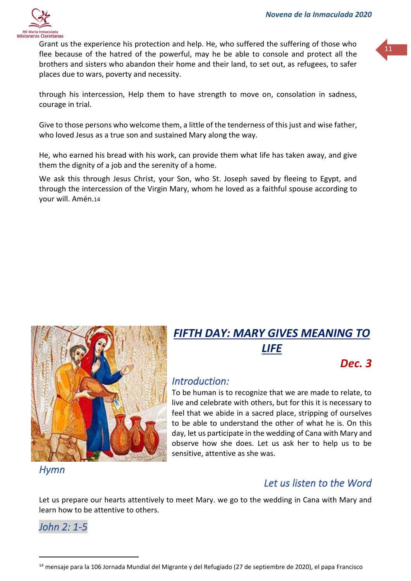

Grant us the experience his protection and help. He, who suffered the suffering of those who flee because of the hatred of the powerful, may he be able to console and protect all the brothers and sisters who abandon their home and their land, to set out, as refugees, to safer places due to wars, poverty and necessity.

through his intercession, Help them to have strength to move on, consolation in sadness, courage in trial.

Give to those persons who welcome them, a little of the tenderness of this just and wise father, who loved Jesus as a true son and sustained Mary along the way.

He, who earned his bread with his work, can provide them what life has taken away, and give them the dignity of a job and the serenity of a home.

We ask this through Jesus Christ, your Son, who St. Joseph saved by fleeing to Egypt, and through the intercession of the Virgin Mary, whom he loved as a faithful spouse according to your will. Amén.14



# *FIFTH DAY: MARY GIVES MEANING TO LIFE*

## *Dec. 3*

### *Introduction:*

To be human is to recognize that we are made to relate, to live and celebrate with others, but for this it is necessary to feel that we abide in a sacred place, stripping of ourselves to be able to understand the other of what he is. On this day, let us participate in the wedding of Cana with Mary and observe how she does. Let us ask her to help us to be sensitive, attentive as she was.

*Hymn* 

### *Let us listen to the Word*

Let us prepare our hearts attentively to meet Mary. we go to the wedding in Cana with Mary and learn how to be attentive to others.

*John 2: 1-5* 

<sup>&</sup>lt;sup>14</sup> mensaje para la 106 Jornada Mundial del Migrante y del Refugiado (27 de septiembre de 2020), el papa Francisco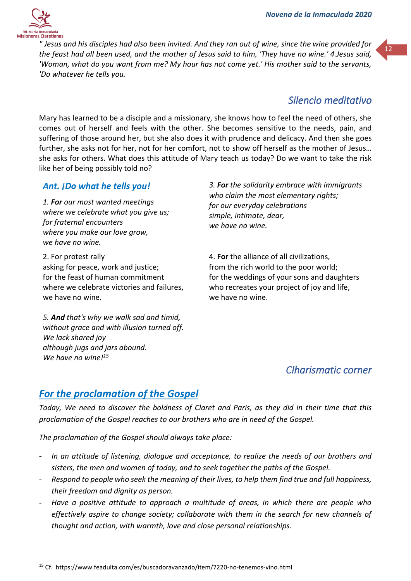

<sup>"</sup> Jesus and his disciples had also been invited. And they ran out of wine, since the wine provided for **the state** *the feast had all been used, and the mother of Jesus said to him, 'They have no wine.' 4.Jesus said, 'Woman, what do you want from me? My hour has not come yet.' His mother said to the servants, 'Do whatever he tells you.*

## *Silencio meditativo*

Mary has learned to be a disciple and a missionary, she knows how to feel the need of others, she comes out of herself and feels with the other. She becomes sensitive to the needs, pain, and suffering of those around her, but she also does it with prudence and delicacy. And then she goes further, she asks not for her, not for her comfort, not to show off herself as the mother of Jesus… she asks for others. What does this attitude of Mary teach us today? Do we want to take the risk like her of being possibly told no?

#### *Ant. ¡Do what he tells you!*

*1. For our most wanted meetings where we celebrate what you give us; for fraternal encounters where you make our love grow, we have no wine.*

2. For protest rally asking for peace, work and justice; for the feast of human commitment where we celebrate victories and failures, we have no wine.

*5. And that's why we walk sad and timid, without grace and with illusion turned off. We lack shared joy although jugs and jars abound. We have no wine! 15*

*3. For the solidarity embrace with immigrants who claim the most elementary rights; for our everyday celebrations simple, intimate, dear, we have no wine.*

4. **For** the alliance of all civilizations, from the rich world to the poor world; for the weddings of your sons and daughters who recreates your project of joy and life, we have no wine.

## *Clharismatic corner*

### *For the proclamation of the Gospel*

*Today, We need to discover the boldness of Claret and Paris, as they did in their time that this proclamation of the Gospel reaches to our brothers who are in need of the Gospel.*

*The proclamation of the Gospel should always take place:*

- *In an attitude of listening, dialogue and acceptance, to realize the needs of our brothers and sisters, the men and women of today, and to seek together the paths of the Gospel.*
- *Respond to people who seek the meaning of their lives, to help them find true and full happiness, their freedom and dignity as person.*
- Have a positive attitude to approach a multitude of areas, in which there are people who *effectively aspire to change society; collaborate with them in the search for new channels of thought and action, with warmth, love and close personal relationships.*

<sup>15</sup> Cf. https://www.feadulta.com/es/buscadoravanzado/item/7220-no-tenemos-vino.html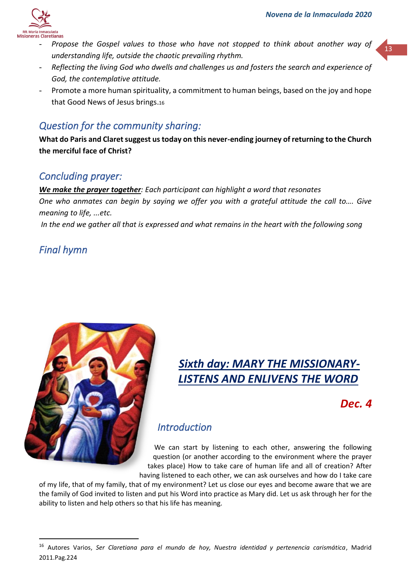

- Propose the Gospel values to those who have not stopped to think about another way of **13** *understanding life, outside the chaotic prevailing rhythm.*
- *Reflecting the living God who dwells and challenges us and fosters the search and experience of God, the contemplative attitude.*
- Promote a more human spirituality, a commitment to human beings, based on the joy and hope that Good News of Jesus brings.<sup>16</sup>

## *Question for the community sharing:*

**What do Paris and Claret suggest us today on this never-ending journey of returning to the Church the merciful face of Christ?**

### *Concluding prayer:*

*We make the prayer together: Each participant can highlight a word that resonates One who anmates can begin by saying we offer you with a grateful attitude the call to…. Give meaning to life, ...etc.*

*In the end we gather all that is expressed and what remains in the heart with the following song*

## *Final hymn*



# *Sixth day: MARY THE MISSIONARY-LISTENS AND ENLIVENS THE WORD*

## *Dec. 4*

## *Introduction*

We can start by listening to each other, answering the following question (or another according to the environment where the prayer takes place) How to take care of human life and all of creation? After having listened to each other, we can ask ourselves and how do I take care

of my life, that of my family, that of my environment? Let us close our eyes and become aware that we are the family of God invited to listen and put his Word into practice as Mary did. Let us ask through her for the ability to listen and help others so that his life has meaning.

<sup>16</sup> Autores Varios, *Ser Claretiana para el mundo de hoy, Nuestra identidad y pertenencia carismática*, Madrid 2011.Pag.224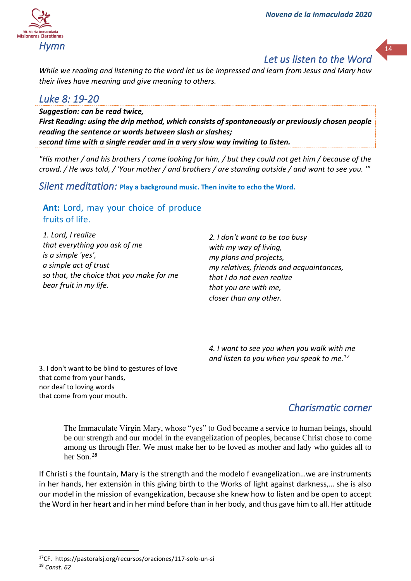## *Let us listen to the Word*

*While we reading and listening to the word let us be impressed and learn from Jesus and Mary how their lives have meaning and give meaning to others.*

## *Luke 8: 19-20*

*Suggestion: can be read twice, First Reading: using the drip method, which consists of spontaneously or previously chosen people reading the sentence or words between slash or slashes; second time with a single reader and in a very slow way inviting to listen.*

*"His mother / and his brothers / came looking for him, / but they could not get him / because of the crowd. / He was told, / 'Your mother / and brothers / are standing outside / and want to see you. '"*

*Silent meditation:* **Play a background music. Then invite to echo the Word.**

#### **Ant:** Lord, may your choice of produce fruits of life.

*1. Lord, I realize that everything you ask of me is a simple 'yes', a simple act of trust so that, the choice that you make for me bear fruit in my life.*

*2. I don't want to be too busy with my way of living, my plans and projects, my relatives, friends and acquaintances, that I do not even realize that you are with me, closer than any other.*

*4. I want to see you when you walk with me and listen to you when you speak to me.<sup>17</sup>*

3. I don't want to be blind to gestures of love that come from your hands, nor deaf to loving words that come from your mouth.

## *Charismatic corner*

The Immaculate Virgin Mary, whose "yes" to God became a service to human beings, should be our strength and our model in the evangelization of peoples, because Christ chose to come among us through Her. We must make her to be loved as mother and lady who guides all to her Son*. 18*

If Christi s the fountain, Mary is the strength and the modelo f evangelization…we are instruments in her hands, her extensión in this giving birth to the Works of light against darkness,… she is also our model in the mission of evangekization, because she knew how to listen and be open to accept the Word in her heart and in her mind before than in her body, and thus gave him to all. Her attitude

<sup>17</sup>CF. https://pastoralsj.org/recursos/oraciones/117-solo-un-si <sup>18</sup> *Const. 62*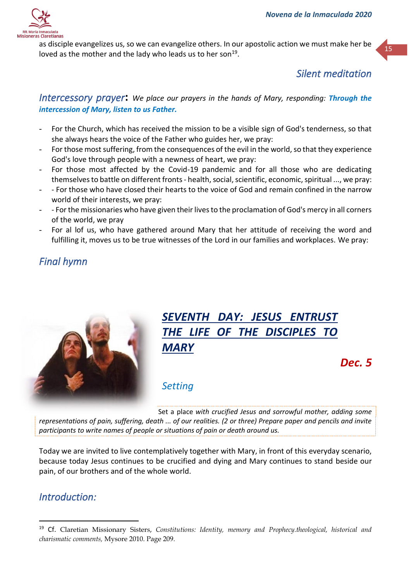

as disciple evangelizes us, so we can evangelize others. In our apostolic action we must make her be loved as the mother and the lady who leads us to her son<sup>19</sup>.

## *Silent meditation*

*Intercessory prayer***:** *We place our prayers in the hands of Mary, responding: Through the intercession of Mary, listen to us Father.*

- For the Church, which has received the mission to be a visible sign of God's tenderness, so that she always hears the voice of the Father who guides her, we pray:
- For those most suffering, from the consequences of the evil in the world, so that they experience God's love through people with a newness of heart, we pray:
- For those most affected by the Covid-19 pandemic and for all those who are dedicating themselves to battle on different fronts - health, social, scientific, economic, spiritual ..., we pray:
- - For those who have closed their hearts to the voice of God and remain confined in the narrow world of their interests, we pray:
- - For the missionaries who have given their lives to the proclamation of God's mercy in all corners of the world, we pray
- For al lof us, who have gathered around Mary that her attitude of receiving the word and fulfilling it, moves us to be true witnesses of the Lord in our families and workplaces. We pray:

## *Final hymn*



# *SEVENTH DAY: JESUS ENTRUST THE LIFE OF THE DISCIPLES TO MARY*

*Dec. 5*

## *Setting*

Set a place *with crucified Jesus and sorrowful mother, adding some representations of pain, suffering, death ... of our realities. (2 or three) Prepare paper and pencils and invite participants to write names of people or situations of pain or death around us.*

Today we are invited to live contemplatively together with Mary, in front of this everyday scenario, because today Jesus continues to be crucified and dying and Mary continues to stand beside our pain, of our brothers and of the whole world.

## *Introduction:*

<sup>19</sup> Cf. Claretian Missionary Sisters, *Constitutions: Identity, memory and Prophecy.theological, historical and charismatic comments,* Mysore 2010. Page 209*.*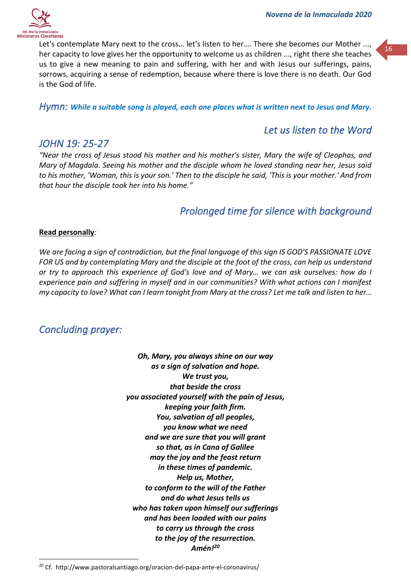

Let's contemplate Mary next to the cross... let's listen to her.... There she becomes our Mother ..., her capacity to love gives her the opportunity to welcome us as children ..., right there she teaches us to give a new meaning to pain and suffering, with her and with Jesus our sufferings, pains, sorrows, acquiring a sense of redemption, because where there is love there is no death. Our God is the God of life.

*Hymn: While a suitable song is played, each one places what is written next to Jesus and Mary.*

### *Let us listen to the Word*

#### *JOHN 19: 25-27*

*"Near the cross of Jesus stood his mother and his mother's sister, Mary the wife of Cleophas, and Mary of Magdala. Seeing his mother and the disciple whom he loved standing near her, Jesus said to his mother, 'Woman, this is your son.' Then to the disciple he said, 'This is your mother.' And from that hour the disciple took her into his home."*

### *Prolonged time for silence with background*

#### **Read personally***:*

*We are facing a sign of contradiction, but the final language of this sign IS GOD'S PASSIONATE LOVE FOR US and by contemplating Mary and the disciple at the foot of the cross, can help us understand or try to approach this experience of God's love and of Mary… we can ask ourselves: how do I experience pain and suffering in myself and in our communities? With what actions can I manifest my capacity to love? What can I learn tonight from Mary at the cross? Let me talk and listen to her…*

### *Concluding prayer:*

*Oh, Mary, you always shine on our way as a sign of salvation and hope. We trust you, that beside the cross you associated yourself with the pain of Jesus, keeping your faith firm. You, salvation of all peoples, you know what we need and we are sure that you will grant so that, as in Cana of Galilee may the joy and the feast return in these times of pandemic. Help us, Mother, to conform to the will of the Father and do what Jesus tells us who has taken upon himself our sufferings and has been loaded with our pains to carry us through the cross to the joy of the resurrection. Amén!<sup>20</sup>*

<sup>20</sup> Cf. http://www.pastoralsantiago.org/oracion-del-papa-ante-el-coronavirus/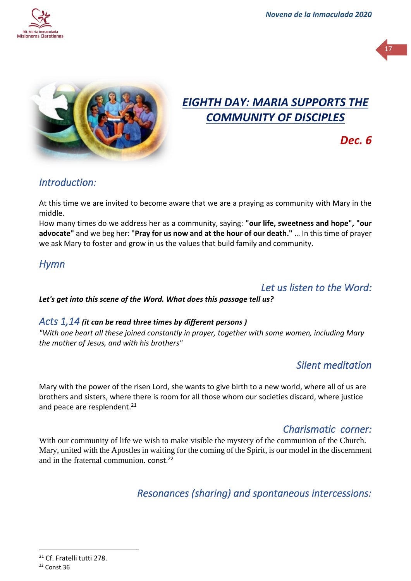



# *EIGHTH DAY: MARIA SUPPORTS THE COMMUNITY OF DISCIPLES*

*Dec. 6*

## *Introduction:*

At this time we are invited to become aware that we are a praying as community with Mary in the middle.

How many times do we address her as a community, saying: **"our life, sweetness and hope", "our advocate"** and we beg her: "**Pray for us now and at the hour of our death."** … In this time of prayer we ask Mary to foster and grow in us the values that build family and community.

## *Hymn*

## *Let us listen to the Word:*

*Let's get into this scene of the Word. What does this passage tell us?*

#### *Acts 1,14 (it can be read three times by different persons )*

*"With one heart all these joined constantly in prayer, together with some women, including Mary the mother of Jesus, and with his brothers"*

## *Silent meditation*

Mary with the power of the risen Lord, she wants to give birth to a new world, where all of us are brothers and sisters, where there is room for all those whom our societies discard, where justice and peace are resplendent.<sup>21</sup>

## *Charismatic corner:*

With our community of life we wish to make visible the mystery of the communion of the Church. Mary, united with the Apostles in waiting for the coming of the Spirit, is our model in the discernment and in the fraternal communion. const.<sup>22</sup>

*Resonances (sharing) and spontaneous intercessions:* 

<sup>&</sup>lt;sup>21</sup> Cf. Fratelli tutti 278.

<sup>22</sup> Const.36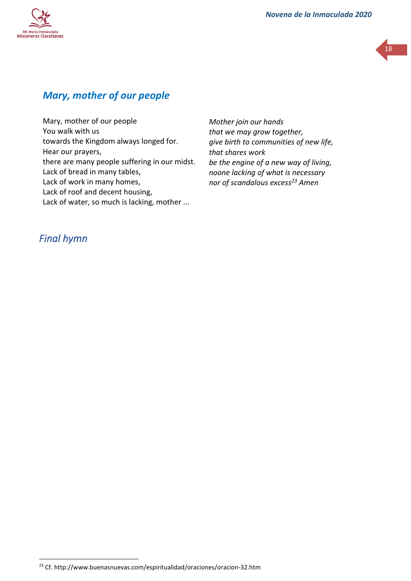



## *Mary, mother of our people*

Mary, mother of our people You walk with us towards the Kingdom always longed for. Hear our prayers, there are many people suffering in our midst. Lack of bread in many tables, Lack of work in many homes, Lack of roof and decent housing, Lack of water, so much is lacking, mother ...

*Mother join our hands that we may grow together, give birth to communities of new life, that shares work be the engine of a new way of living, noone lacking of what is necessary nor of scandalous excess<sup>23</sup> Amen*

### *Final hymn*

<sup>23</sup> Cf. http://www.buenasnuevas.com/espiritualidad/oraciones/oracion-32.htm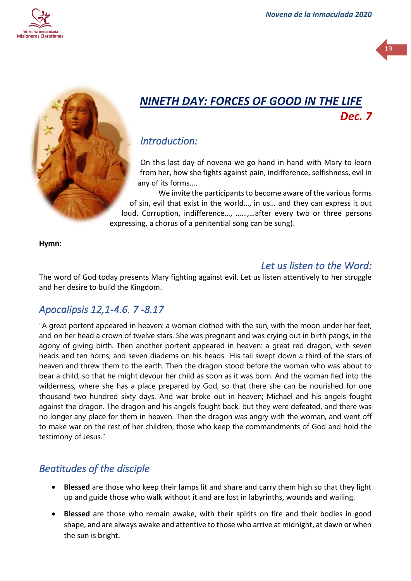



# *NINETH DAY: FORCES OF GOOD IN THE LIFE Dec. 7*

## *Introduction:*

On this last day of novena we go hand in hand with Mary to learn from her, how she fights against pain, indifference, selfishness, evil in any of its forms….

We invite the participants to become aware of the various forms of sin, evil that exist in the world…, in us… and they can express it out loud. Corruption, indifference…, ……,…after every two or three persons expressing, a chorus of a penitential song can be sung).

**Hymn:**

## *Let us listen to the Word:*

The word of God today presents Mary fighting against evil. Let us listen attentively to her struggle and her desire to build the Kingdom.

## *Apocalipsis 12,1-4.6. 7 -8.17*

"A great portent appeared in heaven: a woman clothed with the sun, with the moon under her feet, and on her head a crown of twelve stars. She was pregnant and was crying out in birth pangs, in the agony of giving birth. Then another portent appeared in heaven: a great red dragon, with seven heads and ten horns, and seven diadems on his heads. His tail swept down a third of the stars of heaven and threw them to the earth. Then the dragon stood before the woman who was about to bear a child, so that he might devour her child as soon as it was born. And the woman fled into the wilderness, where she has a place prepared by God, so that there she can be nourished for one thousand two hundred sixty days. And war broke out in heaven; Michael and his angels fought against the dragon. The dragon and his angels fought back, but they were defeated, and there was no longer any place for them in heaven. Then the dragon was angry with the woman, and went off to make war on the rest of her children, those who keep the commandments of God and hold the testimony of Jesus."

## *Beatitudes of the disciple*

- **Blessed** are those who keep their lamps lit and share and carry them high so that they light up and guide those who walk without it and are lost in labyrinths, wounds and wailing.
- **Blessed** are those who remain awake, with their spirits on fire and their bodies in good shape, and are always awake and attentive to those who arrive at midnight, at dawn or when the sun is bright.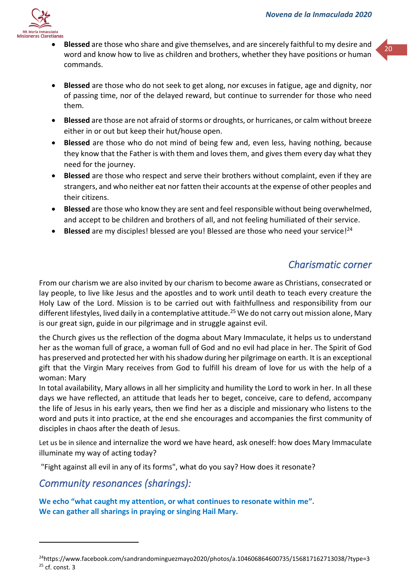

- **Blessed** are those who share and give themselves, and are sincerely faithful to my desire and  $\frac{1}{20}$ word and know how to live as children and brothers, whether they have positions or human commands.
- **Blessed** are those who do not seek to get along, nor excuses in fatigue, age and dignity, nor of passing time, nor of the delayed reward, but continue to surrender for those who need them.
- **Blessed** are those are not afraid of storms or droughts, or hurricanes, or calm without breeze either in or out but keep their hut/house open.
- **Blessed** are those who do not mind of being few and, even less, having nothing, because they know that the Father is with them and loves them, and gives them every day what they need for the journey.
- **Blessed** are those who respect and serve their brothers without complaint, even if they are strangers, and who neither eat nor fatten their accounts at the expense of other peoples and their citizens.
- **Blessed** are those who know they are sent and feel responsible without being overwhelmed, and accept to be children and brothers of all, and not feeling humiliated of their service.
- Blessed are my disciples! blessed are you! Blessed are those who need your service!<sup>24</sup>

## *Charismatic corner*

From our charism we are also invited by our charism to become aware as Christians, consecrated or lay people, to live like Jesus and the apostles and to work until death to teach every creature the Holy Law of the Lord. Mission is to be carried out with faithfullness and responsibility from our different lifestyles, lived daily in a contemplative attitude.<sup>25</sup> We do not carry out mission alone, Mary is our great sign, guide in our pilgrimage and in struggle against evil.

the Church gives us the reflection of the dogma about Mary Immaculate, it helps us to understand her as the woman full of grace, a woman full of God and no evil had place in her. The Spirit of God has preserved and protected her with his shadow during her pilgrimage on earth. It is an exceptional gift that the Virgin Mary receives from God to fulfill his dream of love for us with the help of a woman: Mary

In total availability, Mary allows in all her simplicity and humility the Lord to work in her. In all these days we have reflected, an attitude that leads her to beget, conceive, care to defend, accompany the life of Jesus in his early years, then we find her as a disciple and missionary who listens to the word and puts it into practice, at the end she encourages and accompanies the first community of disciples in chaos after the death of Jesus.

Let us be in silence and internalize the word we have heard, ask oneself: how does Mary Immaculate illuminate my way of acting today?

"Fight against all evil in any of its forms", what do you say? How does it resonate?

*Community resonances (sharings):* 

**We echo "what caught my attention, or what continues to resonate within me". We can gather all sharings in praying or singing Hail Mary.** 

<sup>24</sup>https://www.facebook.com/sandrandominguezmayo2020/photos/a.104606864600735/156817162713038/?type=3  $25$  cf. const. 3